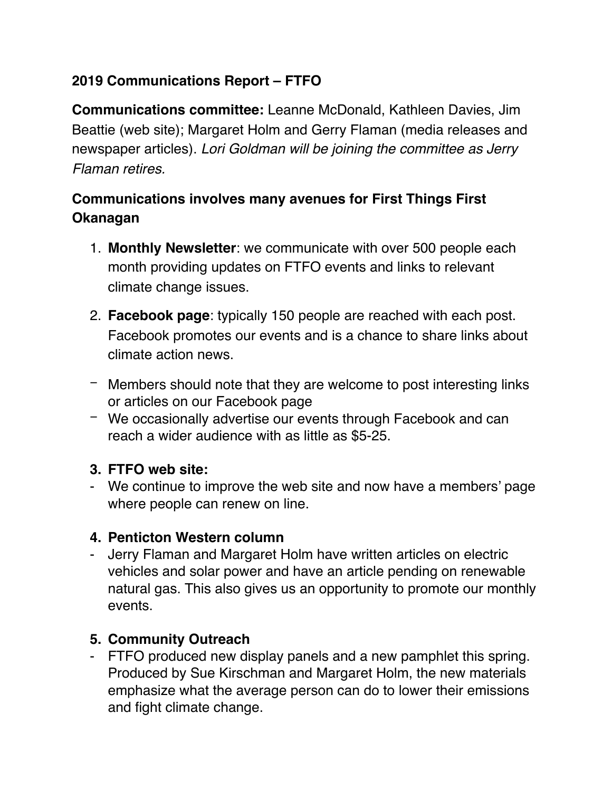# **2019 Communications Report – FTFO**

**Communications committee:** Leanne McDonald, Kathleen Davies, Jim Beattie (web site); Margaret Holm and Gerry Flaman (media releases and newspaper articles). *Lori Goldman will be joining the committee as Jerry Flaman retires.*

# **Communications involves many avenues for First Things First Okanagan**

- 1. **Monthly Newsletter**: we communicate with over 500 people each month providing updates on FTFO events and links to relevant climate change issues.
- 2. **Facebook page**: typically 150 people are reached with each post. Facebook promotes our events and is a chance to share links about climate action news.
- − Members should note that they are welcome to post interesting links or articles on our Facebook page
- − We occasionally advertise our events through Facebook and can reach a wider audience with as little as \$5-25.

## **3. FTFO web site:**

- We continue to improve the web site and now have a members' page where people can renew on line.

### **4. Penticton Western column**

- Jerry Flaman and Margaret Holm have written articles on electric vehicles and solar power and have an article pending on renewable natural gas. This also gives us an opportunity to promote our monthly events.

## **5. Community Outreach**

- FTFO produced new display panels and a new pamphlet this spring. Produced by Sue Kirschman and Margaret Holm, the new materials emphasize what the average person can do to lower their emissions and fight climate change.